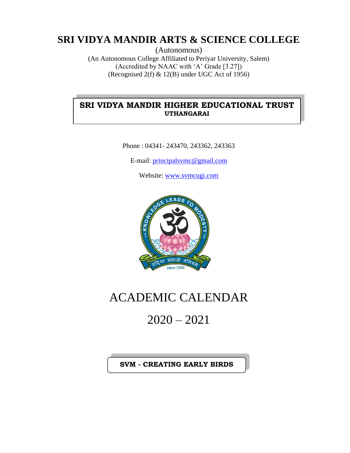### **SRI VIDYA MANDIR ARTS & SCIENCE COLLEGE**

(Autonomous) (An Autonomous College Affiliated to Periyar University, Salem) (Accredited by NAAC with 'A' Grade [3.27]) (Recognised 2(f) & 12(B) under UGC Act of 1956)

#### **SRI VIDYA MANDIR HIGHER EDUCATIONAL TRUST UTHANGARAI**

Phone : 04341- 243470, 243362, 243363

E-mail: [principalsvmc@gmail.com](mailto:principalsvmc@gmail.com)

Website: [www.svmcugi.com](http://www.svmcugi.com/)



## ACADEMIC CALENDAR

# 2020 – 2021

#### **SVM - CREATING EARLY BIRDS**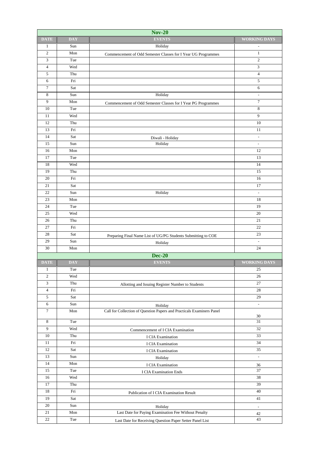| <b>Nov-20</b>    |                      |                                                                                                                  |                              |
|------------------|----------------------|------------------------------------------------------------------------------------------------------------------|------------------------------|
| <b>DATE</b>      | <b>DAY</b>           | <b>EVENTS</b>                                                                                                    | <b>WORKING DAYS</b>          |
| $\mathbf{1}$     | Sun                  | Holiday                                                                                                          | $\overline{\phantom{a}}$     |
| $\overline{2}$   | Mon                  | Commencement of Odd Semester Classes for I Year UG Programmes                                                    | $\mathbf{1}$                 |
| 3                | Tue                  |                                                                                                                  | $\sqrt{2}$                   |
| $\overline{4}$   | Wed                  |                                                                                                                  | 3                            |
| $\sqrt{5}$       | Thu                  |                                                                                                                  | $\sqrt{4}$                   |
| 6                | Fri                  |                                                                                                                  | $\sqrt{5}$                   |
| $\boldsymbol{7}$ | Sat                  |                                                                                                                  | $\sqrt{6}$                   |
| 8                | Sun                  | Holiday                                                                                                          | $\overline{\phantom{a}}$     |
| 9                | Mon                  | Commencement of Odd Semester Classes for I Year PG Programmes                                                    | $\tau$                       |
| 10               | Tue                  |                                                                                                                  | $\,$ 8 $\,$                  |
| 11               | Wed                  |                                                                                                                  | 9                            |
| 12               | Thu                  |                                                                                                                  | 10                           |
| 13               | Fri                  |                                                                                                                  | 11                           |
| 14               | Sat                  | Diwali - Holiday                                                                                                 | $\overline{\phantom{a}}$     |
| 15               | Sun                  | Holiday                                                                                                          | $\overline{\phantom{a}}$     |
| 16               | Mon                  |                                                                                                                  | 12                           |
| 17               | Tue                  |                                                                                                                  | 13                           |
| 18               | Wed                  |                                                                                                                  | 14                           |
| 19               | Thu                  |                                                                                                                  | 15                           |
| 20               | Fri                  |                                                                                                                  | 16                           |
| 21               | Sat                  |                                                                                                                  | 17                           |
| 22               | Sun                  | Holiday                                                                                                          | $\overline{a}$               |
| 23               | Mon                  |                                                                                                                  | 18                           |
| 24               | Tue                  |                                                                                                                  | 19                           |
| 25               | Wed                  |                                                                                                                  | 20                           |
| 26               | Thu                  |                                                                                                                  | 21                           |
| 27               | Fri                  |                                                                                                                  | 22                           |
| 28               | Sat                  | Preparing Final Name List of UG/PG Students Submitting to COE                                                    | 23                           |
| 29               | Sun                  | Holiday                                                                                                          |                              |
| 30               | Mon                  |                                                                                                                  | 24                           |
|                  |                      | <b>Dec-20</b>                                                                                                    |                              |
| <b>DATE</b>      | <b>DAY</b>           | <b>EVENTS</b>                                                                                                    | <b>WORKING DAYS</b>          |
| 1                | Tue                  |                                                                                                                  | 25                           |
| $\overline{c}$   | Wed                  |                                                                                                                  | 26                           |
| 3                | Thu                  | Allotting and Issuing Register Number to Students                                                                | 27                           |
| $\overline{4}$   | Fri                  |                                                                                                                  | $28\,$                       |
| 5                | Sat                  |                                                                                                                  | 29                           |
| $\sqrt{6}$       | Sun                  | Holiday                                                                                                          | $\Box$                       |
| $\tau$           | $\operatorname{Mon}$ | Call for Collection of Question Papers and Practicals Examiners Panel                                            |                              |
| $\,8\,$          | Tue                  |                                                                                                                  | $30\,$<br>31                 |
| $\boldsymbol{9}$ | Wed                  | Commencement of I CIA Examination                                                                                | 32                           |
| $10\,$           | Thu                  |                                                                                                                  | 33                           |
| $11\,$           | Fri                  | I CIA Examination<br>I CIA Examination                                                                           | 34                           |
| $12\,$           | Sat                  |                                                                                                                  | 35                           |
| 13               | Sun                  | I CIA Examination<br>Holiday                                                                                     | $\overline{\phantom{a}}$     |
| 14               | Mon                  | I CIA Examination                                                                                                | 36                           |
| 15               | Tue                  | I CIA Examination Ends                                                                                           | 37                           |
| $16\,$           | Wed                  |                                                                                                                  | $38\,$                       |
| 17               | Thu                  |                                                                                                                  | 39                           |
| 18               | Fri                  | Publication of I CIA Examination Result                                                                          | 40                           |
|                  |                      |                                                                                                                  |                              |
|                  |                      |                                                                                                                  |                              |
| 19<br>20         | Sat                  |                                                                                                                  | 41                           |
| 21               | Sun                  | Holiday                                                                                                          | $\qquad \qquad \blacksquare$ |
| $22\,$           | Mon<br>Tue           | Last Date for Paying Examination Fee Without Penalty<br>Last Date for Receiving Question Paper Setter Panel List | 42<br>43                     |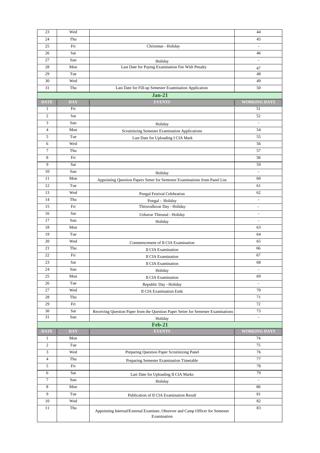| 23               | Wed        |                                                                                              | 44                       |
|------------------|------------|----------------------------------------------------------------------------------------------|--------------------------|
| 24               | Thu        |                                                                                              | 45                       |
| 25               | Fri        | Christmas - Holiday                                                                          | $\overline{\phantom{a}}$ |
| 26               | Sat        |                                                                                              | 46                       |
| 27               | Sun        | Holiday                                                                                      | $\overline{a}$           |
| 28               | Mon        | Last Date for Paying Examination Fee With Penalty                                            | 47                       |
| 29               | Tue        |                                                                                              | 48                       |
| 30               | Wed        |                                                                                              | 49                       |
| 31               | Thu        | Last Date for Fill-up Semester Examination Application                                       | 50                       |
|                  |            | $Jan-21$                                                                                     |                          |
| <b>DATE</b>      | <b>DAY</b> | <b>EVENTS</b>                                                                                | <b>WORKING DAYS</b>      |
| $\mathbf{1}$     | Fri        |                                                                                              | 51                       |
| 2                | Sat        |                                                                                              | 52                       |
| 3                | Sun        |                                                                                              |                          |
| $\overline{4}$   | Mon        | Holiday                                                                                      | 54                       |
| 5                | Tue        | Scrutinizing Semester Examination Applications                                               | 55                       |
| 6                | Wed        | Last Date for Uploading I CIA Mark                                                           | 56                       |
| $\tau$           | Thu        |                                                                                              | 57                       |
| 8                | Fri        |                                                                                              |                          |
| 9                | Sat        |                                                                                              | 58<br>59                 |
|                  |            |                                                                                              |                          |
| 10               | Sun        | Holiday                                                                                      | $\overline{\phantom{a}}$ |
| 11               | Mon        | Appointing Question Papers Setter for Semester Examinations from Panel List                  | 60                       |
| 12               | Tue        |                                                                                              | 61                       |
| 13               | Wed        | Pongal Festival Celebration                                                                  | 62                       |
| 14               | Thu        | Pongal - Holiday                                                                             | $\overline{a}$           |
| 15               | Fri        | Thiruvalluvar Day - Holiday                                                                  | $\overline{\phantom{a}}$ |
| 16               | Sat        | Uzhavar Thirunal - Holiday                                                                   | $\frac{1}{2}$            |
| 17               | Sun        | Holiday                                                                                      | $\frac{1}{2}$            |
| 18               | Mon        |                                                                                              | 63                       |
| 19               | Tue        |                                                                                              | 64                       |
| 20               | Wed        | Commencement of II CIA Examination                                                           | 65                       |
| 21               | Thu        | <b>II CIA Examination</b>                                                                    | 66                       |
| 22               | Fri        | <b>II CIA Examination</b>                                                                    | 67                       |
| 23               | Sat        | <b>II CIA Examination</b>                                                                    | 68                       |
| 24               | Sun        | Holiday                                                                                      |                          |
| 25               | Mon        | <b>II CIA Examination</b>                                                                    | 69                       |
| 26               | Tue        | Republic Day - Holiday                                                                       |                          |
| 27               | Wed        | <b>II CIA Examination Ends</b>                                                               | 70                       |
| 28               | Thu        |                                                                                              | 71                       |
| 29               | Fri        |                                                                                              | 72                       |
| 30               | Sat        | Receiving Question Paper from the Question Paper Setter for Semester Examinations            | 73                       |
| 31               | Sun        | Holiday                                                                                      | $\overline{\phantom{a}}$ |
|                  |            | $Feb-21$                                                                                     |                          |
| <b>DATE</b>      | <b>DAY</b> | <b>EVENTS</b>                                                                                | <b>WORKING DAYS</b>      |
| $\mathbf{1}$     | Mon        |                                                                                              | 74                       |
| $\overline{c}$   | Tue        |                                                                                              | 75                       |
| 3                | Wed        | Preparing Question Paper Scrutinizing Panel                                                  | 76                       |
| $\overline{4}$   | Thu        | Preparing Semester Examination Timetable                                                     | 77                       |
| 5                | Fri        |                                                                                              | 78                       |
| 6                | Sat        | Last Date for Uploading II CIA Marks                                                         | 79                       |
| $\boldsymbol{7}$ | Sun        | Holiday                                                                                      | $\overline{\phantom{a}}$ |
| 8                | Mon        |                                                                                              | 80                       |
| 9                | Tue        | Publication of II CIA Examination Result                                                     | 81                       |
| $10\,$           | Wed        |                                                                                              | 82                       |
| 11               | Thu        |                                                                                              | 83                       |
|                  |            | Appointing Internal/External Examiner, Observer and Camp Officer for Semester<br>Examination |                          |
|                  |            |                                                                                              |                          |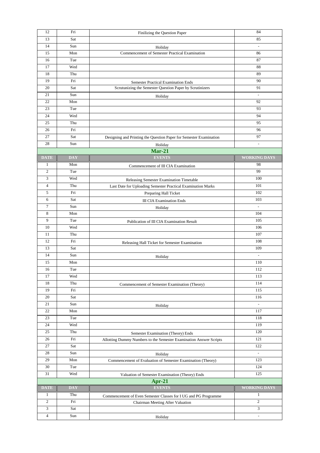| 12             | Fri        | Finilizing the Question Paper                                                                          | 84                       |
|----------------|------------|--------------------------------------------------------------------------------------------------------|--------------------------|
| 13             | Sat        |                                                                                                        | 85                       |
| 14             | Sun        | Holiday                                                                                                | $\overline{\phantom{a}}$ |
| 15             | Mon        | Commencement of Semester Practical Examination                                                         | 86                       |
| 16             | Tue        |                                                                                                        | 87                       |
| 17             | Wed        |                                                                                                        | 88                       |
| 18             | Thu        |                                                                                                        | 89                       |
| 19             | Fri        |                                                                                                        | 90                       |
| 20             | Sat        | <b>Semester Practical Examination Ends</b><br>Scrutunizing the Semester Question Paper by Scrutinizers | 91                       |
| 21             | Sun        |                                                                                                        | $\overline{\phantom{a}}$ |
|                |            | Holiday                                                                                                |                          |
| 22             | Mon        |                                                                                                        | 92                       |
| 23             | Tue        |                                                                                                        | 93                       |
| 24             | Wed        |                                                                                                        | 94                       |
| 25             | Thu        |                                                                                                        | 95                       |
| 26             | Fri        |                                                                                                        | 96                       |
| 27             | Sat        | Designing and Printing the Question Paper for Semester Examination                                     | 97                       |
| 28             | Sun        | Holiday                                                                                                | $\overline{a}$           |
|                |            | $Mar-21$                                                                                               |                          |
| <b>DATE</b>    | <b>DAY</b> | <b>EVENTS</b>                                                                                          | <b>WORKING DAYS</b>      |
| $\mathbf{1}$   | Mon        | Commencement of III CIA Examination                                                                    | 98                       |
| $\mathbf{2}$   | Tue        |                                                                                                        | 99                       |
| 3              | Wed        |                                                                                                        | 100                      |
| $\overline{4}$ | Thu        | Releasing Semester Examination Timetable                                                               | 101                      |
| 5              | Fri        | Last Date for Uploading Semester Practical Examination Marks                                           | 102                      |
|                |            | Preparing Hall Ticket                                                                                  |                          |
| 6              | Sat        | <b>III CIA Examination Ends</b>                                                                        | 103                      |
| $\tau$         | Sun        | Holiday                                                                                                |                          |
| 8              | Mon        |                                                                                                        | 104                      |
| 9              | Tue        | Publication of III CIA Examination Result                                                              | 105                      |
| 10             | Wed        |                                                                                                        | 106                      |
| 11             | Thu        |                                                                                                        | 107                      |
| 12             | Fri        | Releasing Hall Ticket for Semester Examination                                                         | 108                      |
| 13             | Sat        |                                                                                                        | 109                      |
| 14             | Sun        | Holiday                                                                                                | L,                       |
| 15             | Mon        |                                                                                                        | 110                      |
| 16             | Tue        |                                                                                                        | 112                      |
| 17             | Wed        |                                                                                                        | 113                      |
| 18             | Thu        | Commencement of Semester Examination (Theory)                                                          | 114                      |
| 19             | Fri        |                                                                                                        | 115                      |
| 20             | Sat        |                                                                                                        | 116                      |
| 21             | Sun        |                                                                                                        | $\blacksquare$           |
| 22             | Mon        | Holiday                                                                                                | 117                      |
| 23             | Tue        |                                                                                                        | 118                      |
| 24             | Wed        |                                                                                                        | 119                      |
| 25             |            |                                                                                                        |                          |
|                | Thu        | Semester Examination (Theory) Ends                                                                     | 120                      |
| 26             | Fri        | Allotting Dummy Numbers to the Semester Examination Answer Scripts                                     | 121                      |
| 27             | Sat        |                                                                                                        | 122                      |
| 28             | Sun        | Holiday                                                                                                | $\overline{\phantom{a}}$ |
| 29             | Mon        | Commencement of Evaluation of Semester Examination (Theory)                                            | 123                      |
| 30             | Tue        |                                                                                                        | 124                      |
| 31             | Wed        | Valuation of Semester Examination (Theory) Ends                                                        | 125                      |
|                |            | $Apr-21$                                                                                               |                          |
| <b>DATE</b>    | <b>DAY</b> | <b>EVENTS</b>                                                                                          | <b>WORKING DAYS</b>      |
| $\mathbf{1}$   | Thu        | Commencement of Even Semester Classes for I UG and PG Programme                                        | $\mathbf{1}$             |
| $\overline{c}$ | Fri        | Chairman Meeting After Valuation                                                                       | $\overline{c}$           |
| 3              | Sat        |                                                                                                        | 3                        |
| $\overline{4}$ | Sun        |                                                                                                        | $\overline{\phantom{a}}$ |
|                |            | Holiday                                                                                                |                          |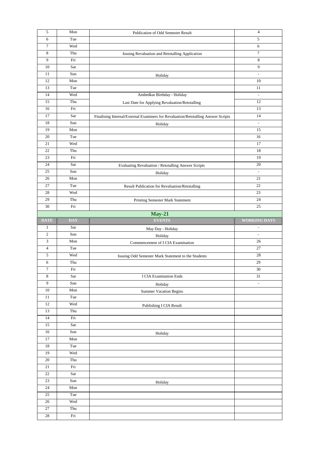| 5               | Mon                  | Publication of Odd Semester Result                                                | 4                        |
|-----------------|----------------------|-----------------------------------------------------------------------------------|--------------------------|
| 6               | Tue                  |                                                                                   | 5                        |
| $\tau$          | Wed                  |                                                                                   | 6                        |
| 8               | Thu                  | Issuing Revaluation and Retotalling Application                                   | 7                        |
| 9               | Fri                  |                                                                                   | $\,$ 8 $\,$              |
| 10              | Sat                  |                                                                                   | 9                        |
| 11              | Sun                  | Holiday                                                                           | $\sim$                   |
| 12              | Mon                  |                                                                                   | 10                       |
| 13              | Tue                  |                                                                                   | 11                       |
| 14              | Wed                  | Ambedkar Birthday - Holiday                                                       | $\overline{\phantom{a}}$ |
| 15              | Thu                  |                                                                                   | 12                       |
| 16              | Fri                  | Last Date for Applying Revaluation/Retotalling                                    | 13                       |
| 17              | Sat                  |                                                                                   | 14                       |
| 18              | Sun                  | Finalising Internal/External Examiners for Revaluation/Retotalling Answer Scripts |                          |
|                 |                      | Holiday                                                                           | $\frac{1}{2}$            |
| 19              | Mon                  |                                                                                   | 15                       |
| 20              | Tue                  |                                                                                   | 16                       |
| 21              | Wed                  |                                                                                   | 17                       |
| 22              | Thu                  |                                                                                   | 18                       |
| 23              | Fri                  |                                                                                   | 19                       |
| 24              | Sat                  | Evaluating Revaluation / Retotalling Answer Scripts                               | 20                       |
| 25              | Sun                  | Holiday                                                                           | $\overline{a}$           |
| 26              | Mon                  |                                                                                   | 21                       |
| 27              | Tue                  | Result Publication for Revaluation/Retotalling                                    | 22                       |
| 28              | Wed                  |                                                                                   | 23                       |
| 29              | Thu                  | Printing Semester Mark Statement                                                  | 24                       |
| 30              | Fri                  |                                                                                   | 25                       |
|                 |                      | $May-21$                                                                          |                          |
| <b>DATE</b>     | <b>DAY</b>           | <b>EVENTS</b>                                                                     | <b>WORKING DAYS</b>      |
| 1               | Sat                  |                                                                                   | $\overline{\phantom{a}}$ |
|                 |                      |                                                                                   |                          |
| $\overline{c}$  | Sun                  | May Day - Holiday                                                                 | $\overline{\phantom{a}}$ |
| 3               | Mon                  | Holiday                                                                           | 26                       |
| $\overline{4}$  | Tue                  | Commencement of I CIA Examination                                                 | 27                       |
|                 |                      |                                                                                   |                          |
| 5               | Wed                  | Issuing Odd Semester Mark Statement to the Students                               | $28\,$                   |
| 6               | Thu                  |                                                                                   | 29                       |
| 7               | Fri                  |                                                                                   | 30                       |
| 8               | Sat                  | <b>I CIA Examination Ends</b>                                                     | 31                       |
| 9               | Sun                  | Holiday                                                                           | $\overline{\phantom{a}}$ |
| 10              | Mon                  | <b>Summer Vacation Begins</b>                                                     |                          |
| 11              | Tue                  |                                                                                   |                          |
| 12              | Wed                  | Publishing I CIA Result                                                           |                          |
| 13              | Thu                  |                                                                                   |                          |
| 14              | $\rm Fri$            |                                                                                   |                          |
| 15              | Sat                  |                                                                                   |                          |
| $16\,$          | Sun                  | Holiday                                                                           |                          |
| 17              | $\operatorname{Mon}$ |                                                                                   |                          |
| 18              | Tue                  |                                                                                   |                          |
| 19              | Wed                  |                                                                                   |                          |
| $20\,$          | Thu                  |                                                                                   |                          |
| $21\,$          | Fri                  |                                                                                   |                          |
| $22\,$          | Sat                  |                                                                                   |                          |
| $23\,$          | Sun                  | Holiday                                                                           |                          |
| 24              | Mon                  |                                                                                   |                          |
| $\overline{25}$ | Tue                  |                                                                                   |                          |
| $26\,$          | Wed                  |                                                                                   |                          |
| $\overline{27}$ | Thu                  |                                                                                   |                          |
| $28\,$          | $\rm Fri$            |                                                                                   |                          |